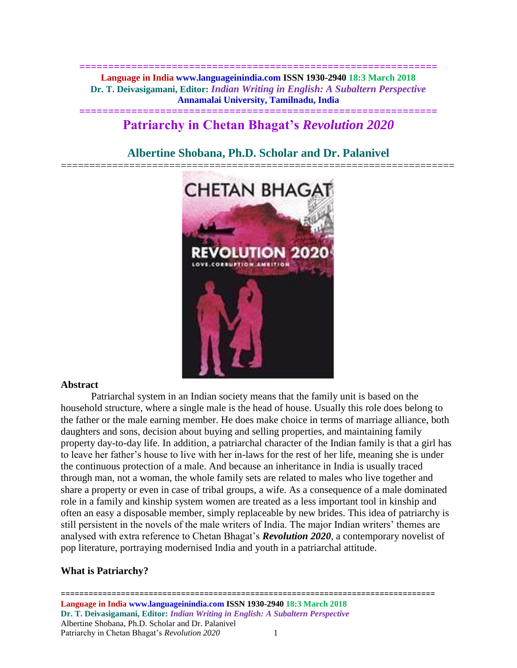**============================================================== Language in India www.languageinindia.com ISSN 1930-2940 18:3 March 2018 Dr. T. Deivasigamani, Editor:** *Indian Writing in English: A Subaltern Perspective* **Annamalai University, Tamilnadu, India**

## **============================================================== Patriarchy in Chetan Bhagat's** *Revolution 2020*

# **Albertine Shobana, Ph.D. Scholar and Dr. Palanivel**



#### **Abstract**

Patriarchal system in an Indian society means that the family unit is based on the household structure, where a single male is the head of house. Usually this role does belong to the father or the male earning member. He does make choice in terms of marriage alliance, both daughters and sons, decision about buying and selling properties, and maintaining family property day-to-day life. In addition, a patriarchal character of the Indian family is that a girl has to leave her father's house to live with her in-laws for the rest of her life, meaning she is under the continuous protection of a male. And because an inheritance in India is usually traced through man, not a woman, the whole family sets are related to males who live together and share a property or even in case of tribal groups, a wife. As a consequence of a male dominated role in a family and kinship system women are treated as a less important tool in kinship and often an easy a disposable member, simply replaceable by new brides. This idea of patriarchy is still persistent in the novels of the male writers of India. The major Indian writers' themes are analysed with extra reference to Chetan Bhagat's *Revolution 2020*, a contemporary novelist of pop literature, portraying modernised India and youth in a patriarchal attitude.

## **What is Patriarchy?**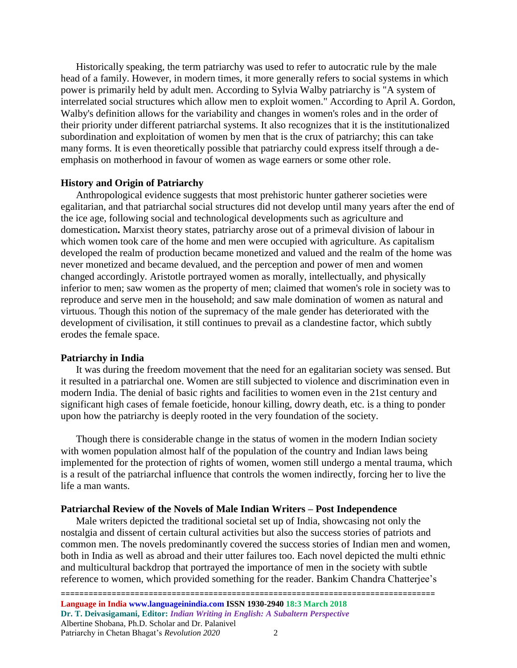Historically speaking, the term patriarchy was used to refer to autocratic rule by the male head of a family. However, in modern times, it more generally refers to social systems in which power is primarily held by adult men. According to Sylvia Walby patriarchy is "A system of interrelated social structures which allow men to exploit women." According to April A. Gordon, Walby's definition allows for the variability and changes in women's roles and in the order of their priority under different patriarchal systems. It also recognizes that it is the institutionalized subordination and exploitation of women by men that is the crux of patriarchy; this can take many forms. It is even theoretically possible that patriarchy could express itself through a deemphasis on motherhood in favour of women as wage earners or some other role.

### **History and Origin of Patriarchy**

Anthropological evidence suggests that most prehistoric hunter gatherer societies were egalitarian, and that patriarchal social structures did not develop until many years after the end of the ice age, following social and technological developments such as agriculture and domestication**.** Marxist theory states, patriarchy arose out of a primeval division of labour in which women took care of the home and men were occupied with agriculture. As capitalism developed the realm of production became monetized and valued and the realm of the home was never monetized and became devalued, and the perception and power of men and women changed accordingly. Aristotle portrayed women as morally, intellectually, and physically inferior to men; saw women as the property of men; claimed that women's role in society was to reproduce and serve men in the household; and saw male domination of women as natural and virtuous. Though this notion of the supremacy of the male gender has deteriorated with the development of civilisation, it still continues to prevail as a clandestine factor, which subtly erodes the female space.

#### **Patriarchy in India**

It was during the freedom movement that the need for an egalitarian society was sensed. But it resulted in a patriarchal one. Women are still subjected to violence and discrimination even in modern India. The denial of basic rights and facilities to women even in the 21st century and significant high cases of female foeticide, honour killing, dowry death, etc. is a thing to ponder upon how the patriarchy is deeply rooted in the very foundation of the society.

Though there is considerable change in the status of women in the modern Indian society with women population almost half of the population of the country and Indian laws being implemented for the protection of rights of women, women still undergo a mental trauma, which is a result of the patriarchal influence that controls the women indirectly, forcing her to live the life a man wants.

#### **Patriarchal Review of the Novels of Male Indian Writers – Post Independence**

Male writers depicted the traditional societal set up of India, showcasing not only the nostalgia and dissent of certain cultural activities but also the success stories of patriots and common men. The novels predominantly covered the success stories of Indian men and women, both in India as well as abroad and their utter failures too. Each novel depicted the multi ethnic and multicultural backdrop that portrayed the importance of men in the society with subtle reference to women, which provided something for the reader. Bankim Chandra Chatterjee's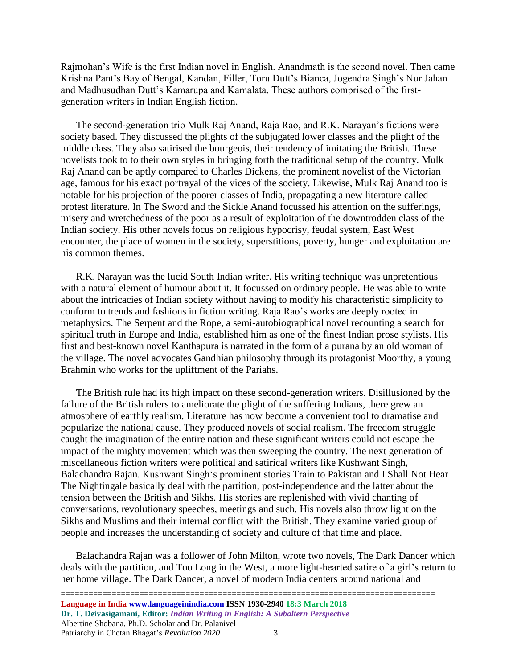Rajmohan's Wife is the first Indian novel in English. Anandmath is the second novel. Then came Krishna Pant's Bay of Bengal, Kandan, Filler, Toru Dutt's Bianca, Jogendra Singh's Nur Jahan and Madhusudhan Dutt's Kamarupa and Kamalata. These authors comprised of the firstgeneration writers in Indian English fiction.

The second-generation trio Mulk Raj Anand, Raja Rao, and R.K. Narayan's fictions were society based. They discussed the plights of the subjugated lower classes and the plight of the middle class. They also satirised the bourgeois, their tendency of imitating the British. These novelists took to to their own styles in bringing forth the traditional setup of the country. Mulk Raj Anand can be aptly compared to Charles Dickens, the prominent novelist of the Victorian age, famous for his exact portrayal of the vices of the society. Likewise, Mulk Raj Anand too is notable for his projection of the poorer classes of India, propagating a new literature called protest literature. In The Sword and the Sickle Anand focussed his attention on the sufferings, misery and wretchedness of the poor as a result of exploitation of the downtrodden class of the Indian society. His other novels focus on religious hypocrisy, feudal system, East West encounter, the place of women in the society, superstitions, poverty, hunger and exploitation are his common themes.

R.K. Narayan was the lucid South Indian writer. His writing technique was unpretentious with a natural element of humour about it. It focussed on ordinary people. He was able to write about the intricacies of Indian society without having to modify his characteristic simplicity to conform to trends and fashions in fiction writing. Raja Rao's works are deeply rooted in metaphysics. The Serpent and the Rope, a semi-autobiographical novel recounting a search for spiritual truth in Europe and India, established him as one of the finest Indian prose stylists. His first and best-known novel Kanthapura is narrated in the form of a purana by an old woman of the village. The novel advocates Gandhian philosophy through its protagonist Moorthy, a young Brahmin who works for the upliftment of the Pariahs.

The British rule had its high impact on these second-generation writers. Disillusioned by the failure of the British rulers to ameliorate the plight of the suffering Indians, there grew an atmosphere of earthly realism. Literature has now become a convenient tool to dramatise and popularize the national cause. They produced novels of social realism. The freedom struggle caught the imagination of the entire nation and these significant writers could not escape the impact of the mighty movement which was then sweeping the country. The next generation of miscellaneous fiction writers were political and satirical writers like Kushwant Singh, Balachandra Rajan. Kushwant Singh's prominent stories Train to Pakistan and I Shall Not Hear The Nightingale basically deal with the partition, post-independence and the latter about the tension between the British and Sikhs. His stories are replenished with vivid chanting of conversations, revolutionary speeches, meetings and such. His novels also throw light on the Sikhs and Muslims and their internal conflict with the British. They examine varied group of people and increases the understanding of society and culture of that time and place.

Balachandra Rajan was a follower of John Milton, wrote two novels, The Dark Dancer which deals with the partition, and Too Long in the West, a more light-hearted satire of a girl's return to her home village. The Dark Dancer, a novel of modern India centers around national and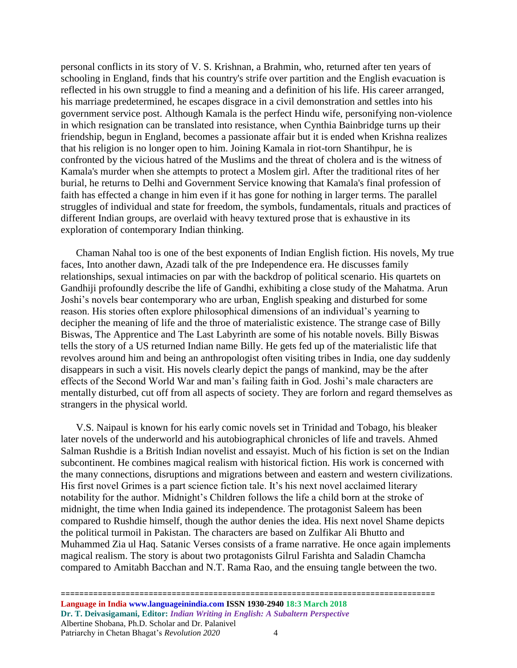personal conflicts in its story of V. S. Krishnan, a Brahmin, who, returned after ten years of schooling in England, finds that his country's strife over partition and the English evacuation is reflected in his own struggle to find a meaning and a definition of his life. His career arranged, his marriage predetermined, he escapes disgrace in a civil demonstration and settles into his government service post. Although Kamala is the perfect Hindu wife, personifying non-violence in which resignation can be translated into resistance, when Cynthia Bainbridge turns up their friendship, begun in England, becomes a passionate affair but it is ended when Krishna realizes that his religion is no longer open to him. Joining Kamala in riot-torn Shantihpur, he is confronted by the vicious hatred of the Muslims and the threat of cholera and is the witness of Kamala's murder when she attempts to protect a Moslem girl. After the traditional rites of her burial, he returns to Delhi and Government Service knowing that Kamala's final profession of faith has effected a change in him even if it has gone for nothing in larger terms. The parallel struggles of individual and state for freedom, the symbols, fundamentals, rituals and practices of different Indian groups, are overlaid with heavy textured prose that is exhaustive in its exploration of contemporary Indian thinking.

Chaman Nahal too is one of the best exponents of Indian English fiction. His novels, My true faces, Into another dawn, Azadi talk of the pre Independence era. He discusses family relationships, sexual intimacies on par with the backdrop of political scenario. His quartets on Gandhiji profoundly describe the life of Gandhi, exhibiting a close study of the Mahatma. Arun Joshi's novels bear contemporary who are urban, English speaking and disturbed for some reason. His stories often explore philosophical dimensions of an individual's yearning to decipher the meaning of life and the throe of materialistic existence. The strange case of Billy Biswas, The Apprentice and The Last Labyrinth are some of his notable novels. Billy Biswas tells the story of a US returned Indian name Billy. He gets fed up of the materialistic life that revolves around him and being an anthropologist often visiting tribes in India, one day suddenly disappears in such a visit. His novels clearly depict the pangs of mankind, may be the after effects of the Second World War and man's failing faith in God. Joshi's male characters are mentally disturbed, cut off from all aspects of society. They are forlorn and regard themselves as strangers in the physical world.

V.S. Naipaul is known for his early comic novels set in Trinidad and Tobago, his bleaker later novels of the underworld and his autobiographical chronicles of life and travels. Ahmed Salman Rushdie is a British Indian novelist and essayist. Much of his fiction is set on the Indian subcontinent. He combines magical realism with historical fiction. His work is concerned with the many connections, disruptions and migrations between and eastern and western civilizations. His first novel Grimes is a part science fiction tale. It's his next novel acclaimed literary notability for the author. Midnight's Children follows the life a child born at the stroke of midnight, the time when India gained its independence. The protagonist Saleem has been compared to Rushdie himself, though the author denies the idea. His next novel Shame depicts the political turmoil in Pakistan. The characters are based on Zulfikar Ali Bhutto and Muhammed Zia ul Haq. Satanic Verses consists of a frame narrative. He once again implements magical realism. The story is about two protagonists Gilrul Farishta and Saladin Chamcha compared to Amitabh Bacchan and N.T. Rama Rao, and the ensuing tangle between the two.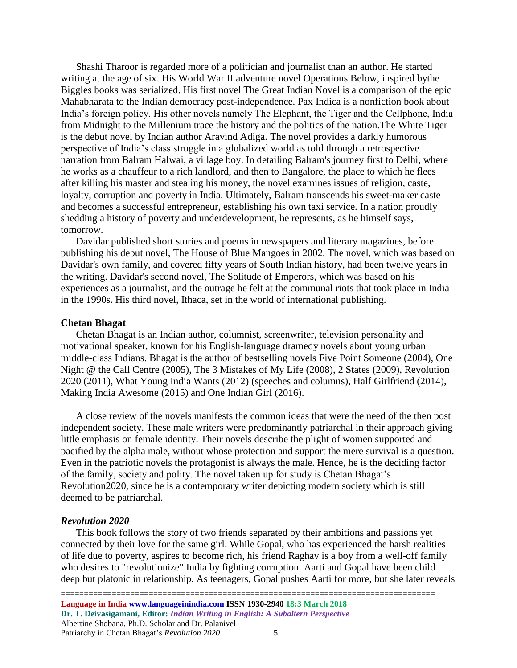Shashi Tharoor is regarded more of a politician and journalist than an author. He started writing at the age of six. His World War II adventure novel Operations Below, inspired bythe Biggles books was serialized. His first novel The Great Indian Novel is a comparison of the epic Mahabharata to the Indian democracy post-independence. Pax Indica is a nonfiction book about India's foreign policy. His other novels namely The Elephant, the Tiger and the Cellphone, India from Midnight to the Millenium trace the history and the politics of the nation.The White Tiger is the debut novel by Indian author [Aravind Adiga.](https://en.wikipedia.org/wiki/Aravind_Adiga) The novel provides a darkly humorous perspective of India's class struggle in a globalized world as told through a retrospective narration from Balram Halwai, a village boy. In detailing Balram's journey first to Delhi, where he works as a chauffeur to a rich landlord, and then to Bangalore, the place to which he flees after killing his master and stealing his money, the novel examines issues of religion, caste, loyalty, corruption and [poverty in India.](https://en.wikipedia.org/wiki/Poverty_in_India) Ultimately, Balram transcends his sweet-maker caste and becomes a successful entrepreneur, establishing his own taxi service. In a nation proudly shedding a history of poverty and underdevelopment, he represents, as he himself says, tomorrow.

Davidar published short stories and poems in newspapers and literary magazines, before publishing his debut novel, The House of Blue Mangoes in 2002. The novel, which was based on Davidar's own family, and covered fifty years of South Indian history, had been twelve years in the writing. Davidar's second novel, The Solitude of Emperors, which was based on his experiences as a journalist, and the outrage he felt at the communal riots that took place in India in the 1990s. His third novel, Ithaca, set in the world of international publishing.

#### **Chetan Bhagat**

Chetan Bhagat is an Indian author, columnist, screenwriter, television personality and motivational speaker, known for his English-language dramedy novels about young urban middle-class Indians. Bhagat is the author of bestselling novels Five Point Someone (2004), One Night @ the Call Centre (2005), The 3 Mistakes of My Life (2008), 2 States (2009), Revolution 2020 (2011), What Young India Wants (2012) (speeches and columns), Half Girlfriend (2014), Making India Awesome (2015) and One Indian Girl (2016).

A close review of the novels manifests the common ideas that were the need of the then post independent society. These male writers were predominantly patriarchal in their approach giving little emphasis on female identity. Their novels describe the plight of women supported and pacified by the alpha male, without whose protection and support the mere survival is a question. Even in the patriotic novels the protagonist is always the male. Hence, he is the deciding factor of the family, society and polity. The novel taken up for study is Chetan Bhagat's Revolution2020, since he is a contemporary writer depicting modern society which is still deemed to be patriarchal.

#### *Revolution 2020*

This book follows the story of two friends separated by their ambitions and passions yet connected by their love for the same girl. While Gopal, who has experienced the harsh realities of life due to poverty, aspires to become rich, his friend Raghav is a boy from a well-off family who desires to "revolutionize" India by fighting corruption. Aarti and Gopal have been child deep but platonic in relationship. As teenagers, Gopal pushes Aarti for more, but she later reveals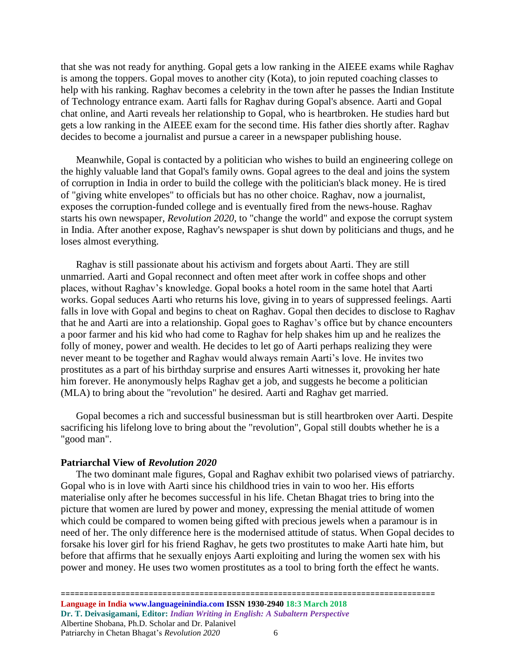that she was not ready for anything. Gopal gets a low ranking in the AIEEE exams while Raghav is among the toppers. Gopal moves to another city (Kota), to join reputed coaching classes to help with his ranking. Raghav becomes a celebrity in the town after he passes the Indian Institute of Technology entrance exam. Aarti falls for Raghav during Gopal's absence. Aarti and Gopal chat online, and Aarti reveals her relationship to Gopal, who is heartbroken. He studies hard but gets a low ranking in the AIEEE exam for the second time. His father dies shortly after. Raghav decides to become a journalist and pursue a career in a newspaper publishing house.

Meanwhile, Gopal is contacted by a politician who wishes to build an engineering college on the highly valuable land that Gopal's family owns. Gopal agrees to the deal and joins the system of corruption in India in order to build the college with the politician's black money. He is tired of "giving white envelopes" to officials but has no other choice. Raghav, now a journalist, exposes the corruption-funded college and is eventually fired from the news-house. Raghav starts his own newspaper, *Revolution 2020*, to "change the world" and expose the corrupt system in India. After another expose, Raghav's newspaper is shut down by politicians and thugs, and he loses almost everything.

Raghav is still passionate about his activism and forgets about Aarti. They are still unmarried. Aarti and Gopal reconnect and often meet after work in coffee shops and other places, without Raghav's knowledge. Gopal books a hotel room in the same hotel that Aarti works. Gopal seduces Aarti who returns his love, giving in to years of suppressed feelings. Aarti falls in love with Gopal and begins to cheat on Raghav. Gopal then decides to disclose to Raghav that he and Aarti are into a relationship. Gopal goes to Raghav's office but by chance encounters a poor farmer and his kid who had come to Raghav for help shakes him up and he realizes the folly of money, power and wealth. He decides to let go of Aarti perhaps realizing they were never meant to be together and Raghav would always remain Aarti's love. He invites two prostitutes as a part of his birthday surprise and ensures Aarti witnesses it, provoking her hate him forever. He anonymously helps Raghav get a job, and suggests he become a politician (MLA) to bring about the "revolution" he desired. Aarti and Raghav get married.

Gopal becomes a rich and successful businessman but is still heartbroken over Aarti. Despite sacrificing his lifelong love to bring about the "revolution", Gopal still doubts whether he is a "good man".

#### **Patriarchal View of** *Revolution 2020*

The two dominant male figures, Gopal and Raghav exhibit two polarised views of patriarchy. Gopal who is in love with Aarti since his childhood tries in vain to woo her. His efforts materialise only after he becomes successful in his life. Chetan Bhagat tries to bring into the picture that women are lured by power and money, expressing the menial attitude of women which could be compared to women being gifted with precious jewels when a paramour is in need of her. The only difference here is the modernised attitude of status. When Gopal decides to forsake his lover girl for his friend Raghav, he gets two prostitutes to make Aarti hate him, but before that affirms that he sexually enjoys Aarti exploiting and luring the women sex with his power and money. He uses two women prostitutes as a tool to bring forth the effect he wants.